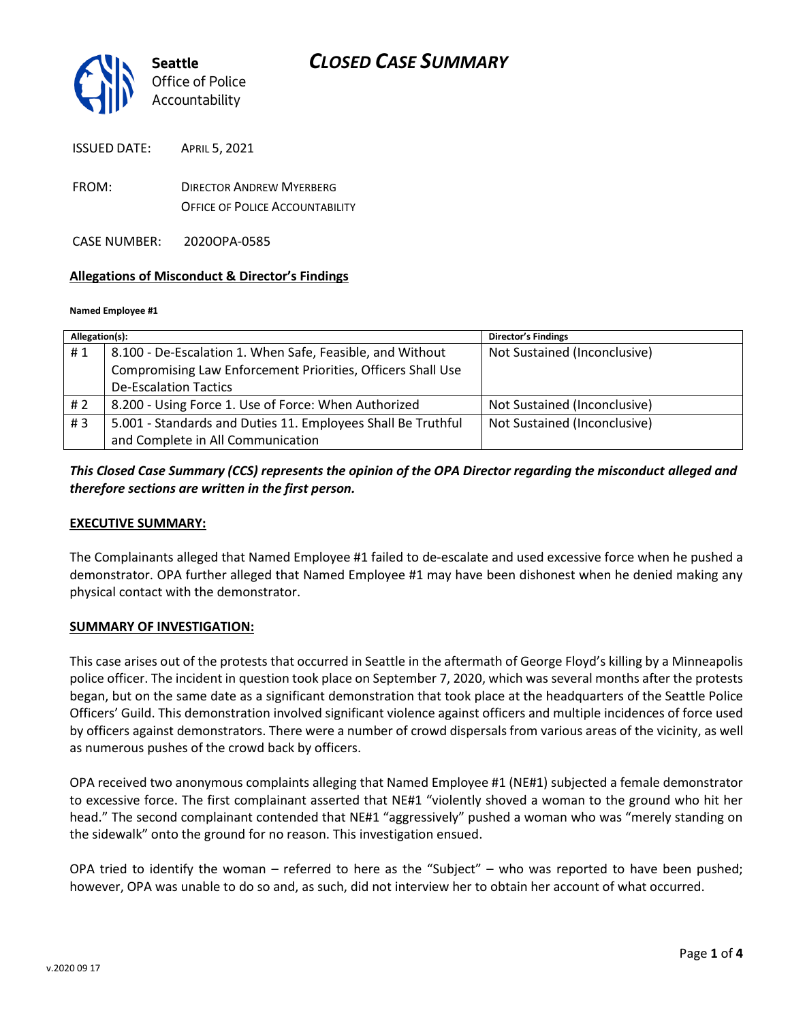

ISSUED DATE: APRIL 5, 2021

FROM: DIRECTOR ANDREW MYERBERG OFFICE OF POLICE ACCOUNTABILITY

CASE NUMBER: 2020OPA-0585

### **Allegations of Misconduct & Director's Findings**

#### **Named Employee #1**

| Allegation(s): |                                                              | <b>Director's Findings</b>   |
|----------------|--------------------------------------------------------------|------------------------------|
| #1             | 8.100 - De-Escalation 1. When Safe, Feasible, and Without    | Not Sustained (Inconclusive) |
|                | Compromising Law Enforcement Priorities, Officers Shall Use  |                              |
|                | <b>De-Escalation Tactics</b>                                 |                              |
| # 2            | 8.200 - Using Force 1. Use of Force: When Authorized         | Not Sustained (Inconclusive) |
| #3             | 5.001 - Standards and Duties 11. Employees Shall Be Truthful | Not Sustained (Inconclusive) |
|                | and Complete in All Communication                            |                              |

## *This Closed Case Summary (CCS) represents the opinion of the OPA Director regarding the misconduct alleged and therefore sections are written in the first person.*

### **EXECUTIVE SUMMARY:**

The Complainants alleged that Named Employee #1 failed to de-escalate and used excessive force when he pushed a demonstrator. OPA further alleged that Named Employee #1 may have been dishonest when he denied making any physical contact with the demonstrator.

#### **SUMMARY OF INVESTIGATION:**

This case arises out of the protests that occurred in Seattle in the aftermath of George Floyd's killing by a Minneapolis police officer. The incident in question took place on September 7, 2020, which was several months after the protests began, but on the same date as a significant demonstration that took place at the headquarters of the Seattle Police Officers' Guild. This demonstration involved significant violence against officers and multiple incidences of force used by officers against demonstrators. There were a number of crowd dispersals from various areas of the vicinity, as well as numerous pushes of the crowd back by officers.

OPA received two anonymous complaints alleging that Named Employee #1 (NE#1) subjected a female demonstrator to excessive force. The first complainant asserted that NE#1 "violently shoved a woman to the ground who hit her head." The second complainant contended that NE#1 "aggressively" pushed a woman who was "merely standing on the sidewalk" onto the ground for no reason. This investigation ensued.

OPA tried to identify the woman – referred to here as the "Subject" – who was reported to have been pushed; however, OPA was unable to do so and, as such, did not interview her to obtain her account of what occurred.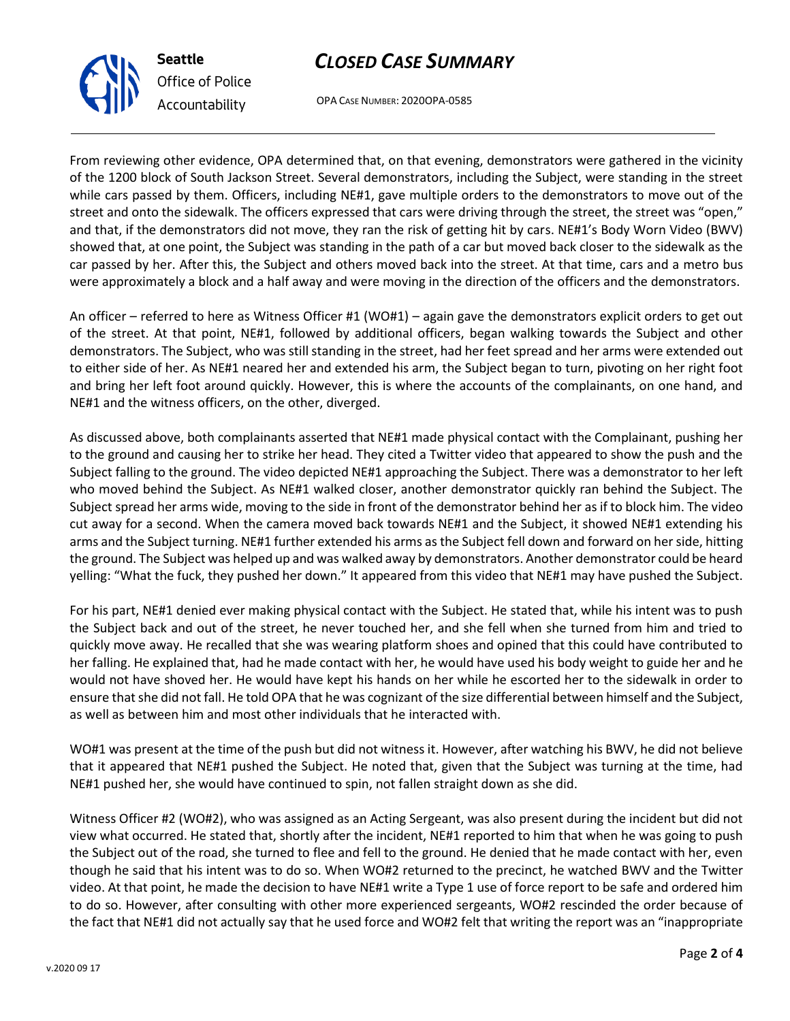# *CLOSED CASE SUMMARY*

OPA CASE NUMBER: 2020OPA-0585

From reviewing other evidence, OPA determined that, on that evening, demonstrators were gathered in the vicinity of the 1200 block of South Jackson Street. Several demonstrators, including the Subject, were standing in the street while cars passed by them. Officers, including NE#1, gave multiple orders to the demonstrators to move out of the street and onto the sidewalk. The officers expressed that cars were driving through the street, the street was "open," and that, if the demonstrators did not move, they ran the risk of getting hit by cars. NE#1's Body Worn Video (BWV) showed that, at one point, the Subject was standing in the path of a car but moved back closer to the sidewalk as the car passed by her. After this, the Subject and others moved back into the street. At that time, cars and a metro bus were approximately a block and a half away and were moving in the direction of the officers and the demonstrators.

An officer – referred to here as Witness Officer #1 (WO#1) – again gave the demonstrators explicit orders to get out of the street. At that point, NE#1, followed by additional officers, began walking towards the Subject and other demonstrators. The Subject, who was still standing in the street, had her feet spread and her arms were extended out to either side of her. As NE#1 neared her and extended his arm, the Subject began to turn, pivoting on her right foot and bring her left foot around quickly. However, this is where the accounts of the complainants, on one hand, and NE#1 and the witness officers, on the other, diverged.

As discussed above, both complainants asserted that NE#1 made physical contact with the Complainant, pushing her to the ground and causing her to strike her head. They cited a Twitter video that appeared to show the push and the Subject falling to the ground. The video depicted NE#1 approaching the Subject. There was a demonstrator to her left who moved behind the Subject. As NE#1 walked closer, another demonstrator quickly ran behind the Subject. The Subject spread her arms wide, moving to the side in front of the demonstrator behind her as if to block him. The video cut away for a second. When the camera moved back towards NE#1 and the Subject, it showed NE#1 extending his arms and the Subject turning. NE#1 further extended his arms as the Subject fell down and forward on her side, hitting the ground. The Subject was helped up and was walked away by demonstrators. Another demonstrator could be heard yelling: "What the fuck, they pushed her down." It appeared from this video that NE#1 may have pushed the Subject.

For his part, NE#1 denied ever making physical contact with the Subject. He stated that, while his intent was to push the Subject back and out of the street, he never touched her, and she fell when she turned from him and tried to quickly move away. He recalled that she was wearing platform shoes and opined that this could have contributed to her falling. He explained that, had he made contact with her, he would have used his body weight to guide her and he would not have shoved her. He would have kept his hands on her while he escorted her to the sidewalk in order to ensure that she did not fall. He told OPA that he was cognizant of the size differential between himself and the Subject, as well as between him and most other individuals that he interacted with.

WO#1 was present at the time of the push but did not witness it. However, after watching his BWV, he did not believe that it appeared that NE#1 pushed the Subject. He noted that, given that the Subject was turning at the time, had NE#1 pushed her, she would have continued to spin, not fallen straight down as she did.

Witness Officer #2 (WO#2), who was assigned as an Acting Sergeant, was also present during the incident but did not view what occurred. He stated that, shortly after the incident, NE#1 reported to him that when he was going to push the Subject out of the road, she turned to flee and fell to the ground. He denied that he made contact with her, even though he said that his intent was to do so. When WO#2 returned to the precinct, he watched BWV and the Twitter video. At that point, he made the decision to have NE#1 write a Type 1 use of force report to be safe and ordered him to do so. However, after consulting with other more experienced sergeants, WO#2 rescinded the order because of the fact that NE#1 did not actually say that he used force and WO#2 felt that writing the report was an "inappropriate



**Seattle**

*Office of Police Accountability*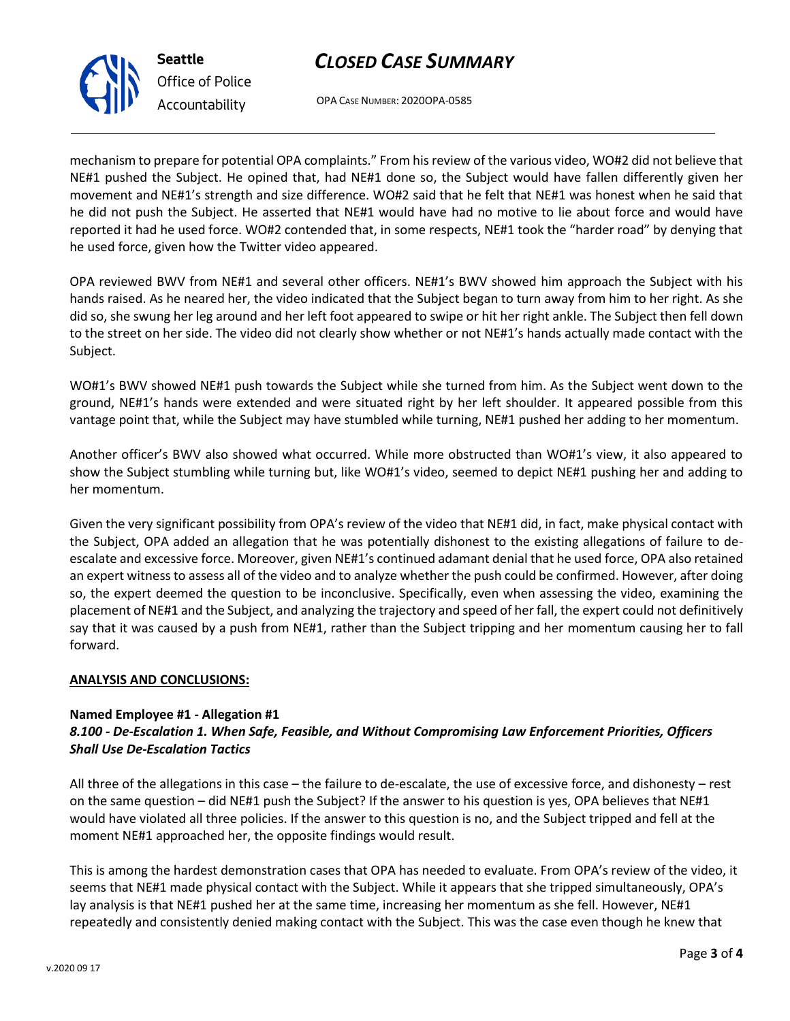# *CLOSED CASE SUMMARY*



*Office of Police Accountability*

OPA CASE NUMBER: 2020OPA-0585

mechanism to prepare for potential OPA complaints." From his review of the various video, WO#2 did not believe that NE#1 pushed the Subject. He opined that, had NE#1 done so, the Subject would have fallen differently given her movement and NE#1's strength and size difference. WO#2 said that he felt that NE#1 was honest when he said that he did not push the Subject. He asserted that NE#1 would have had no motive to lie about force and would have reported it had he used force. WO#2 contended that, in some respects, NE#1 took the "harder road" by denying that he used force, given how the Twitter video appeared.

OPA reviewed BWV from NE#1 and several other officers. NE#1's BWV showed him approach the Subject with his hands raised. As he neared her, the video indicated that the Subject began to turn away from him to her right. As she did so, she swung her leg around and her left foot appeared to swipe or hit her right ankle. The Subject then fell down to the street on her side. The video did not clearly show whether or not NE#1's hands actually made contact with the Subject.

WO#1's BWV showed NE#1 push towards the Subject while she turned from him. As the Subject went down to the ground, NE#1's hands were extended and were situated right by her left shoulder. It appeared possible from this vantage point that, while the Subject may have stumbled while turning, NE#1 pushed her adding to her momentum.

Another officer's BWV also showed what occurred. While more obstructed than WO#1's view, it also appeared to show the Subject stumbling while turning but, like WO#1's video, seemed to depict NE#1 pushing her and adding to her momentum.

Given the very significant possibility from OPA's review of the video that NE#1 did, in fact, make physical contact with the Subject, OPA added an allegation that he was potentially dishonest to the existing allegations of failure to deescalate and excessive force. Moreover, given NE#1's continued adamant denial that he used force, OPA also retained an expert witness to assess all of the video and to analyze whether the push could be confirmed. However, after doing so, the expert deemed the question to be inconclusive. Specifically, even when assessing the video, examining the placement of NE#1 and the Subject, and analyzing the trajectory and speed of her fall, the expert could not definitively say that it was caused by a push from NE#1, rather than the Subject tripping and her momentum causing her to fall forward.

## **ANALYSIS AND CONCLUSIONS:**

### **Named Employee #1 - Allegation #1**

## *8.100 - De-Escalation 1. When Safe, Feasible, and Without Compromising Law Enforcement Priorities, Officers Shall Use De-Escalation Tactics*

All three of the allegations in this case – the failure to de-escalate, the use of excessive force, and dishonesty – rest on the same question – did NE#1 push the Subject? If the answer to his question is yes, OPA believes that NE#1 would have violated all three policies. If the answer to this question is no, and the Subject tripped and fell at the moment NE#1 approached her, the opposite findings would result.

This is among the hardest demonstration cases that OPA has needed to evaluate. From OPA's review of the video, it seems that NE#1 made physical contact with the Subject. While it appears that she tripped simultaneously, OPA's lay analysis is that NE#1 pushed her at the same time, increasing her momentum as she fell. However, NE#1 repeatedly and consistently denied making contact with the Subject. This was the case even though he knew that